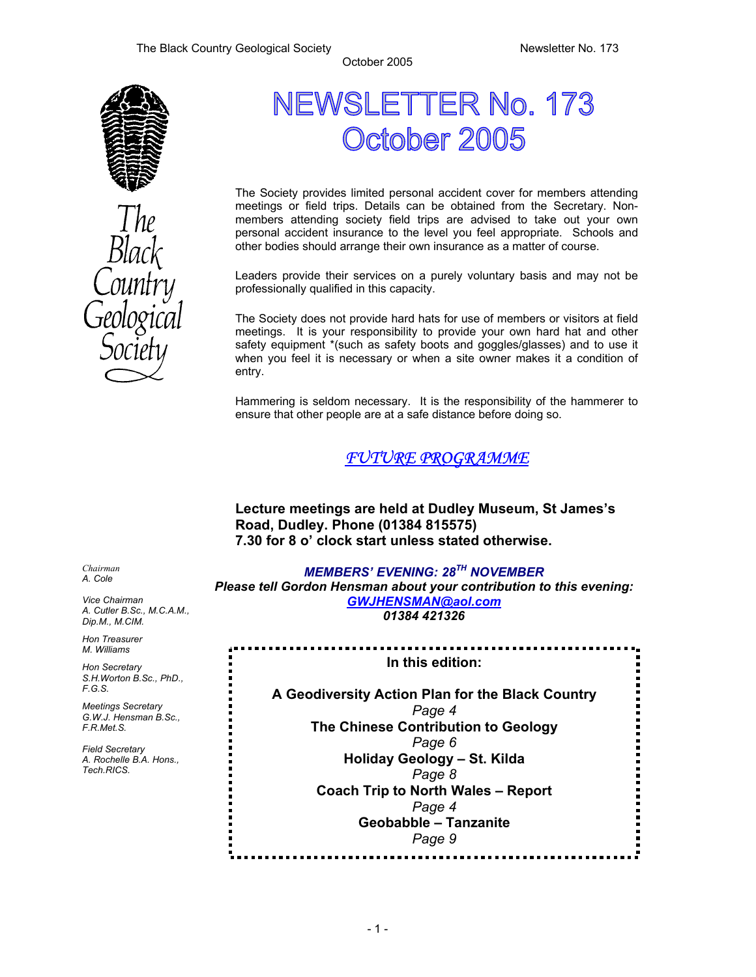

# NEWSLETTER No. 173 October 2005

The Society provides limited personal accident cover for members attending meetings or field trips. Details can be obtained from the Secretary. Nonmembers attending society field trips are advised to take out your own personal accident insurance to the level you feel appropriate. Schools and other bodies should arrange their own insurance as a matter of course.

Leaders provide their services on a purely voluntary basis and may not be professionally qualified in this capacity.

The Society does not provide hard hats for use of members or visitors at field meetings. It is your responsibility to provide your own hard hat and other safety equipment \*(such as safety boots and goggles/glasses) and to use it when you feel it is necessary or when a site owner makes it a condition of entry.

Hammering is seldom necessary. It is the responsibility of the hammerer to ensure that other people are at a safe distance before doing so.

# *FUTURE PROGRAMME*

**Lecture meetings are held at Dudley Museum, St James's Road, Dudley. Phone (01384 815575) 7.30 for 8 o' clock start unless stated otherwise.**

*MEMBERS' EVENING: 28TH NOVEMBER Please tell Gordon Hensman about your contribution to this evening: GWJHENSMAN@aol.com 01384 421326* 

**In this edition:** 

**A Geodiversity Action Plan for the Black Country**  *Page 4*  **The Chinese Contribution to Geology**  *Page 6*  **Holiday Geology – St. Kilda**  *Page 8*  **Coach Trip to North Wales – Report**  *Page 4*  **Geobabble – Tanzanite**  *Page 9* 

*Chairman A. Cole* 

*Vice Chairman A. Cutler B.Sc., M.C.A.M., Dip.M., M.CIM.* 

*Hon Treasurer M. Williams* 

*Hon Secretary S.H.Worton B.Sc., PhD., F.G.S.* 

*Meetings Secretary G.W.J. Hensman B.Sc., F.R.Met.S.* 

*Field Secretary A. Rochelle B.A. Hons., Tech.RICS.*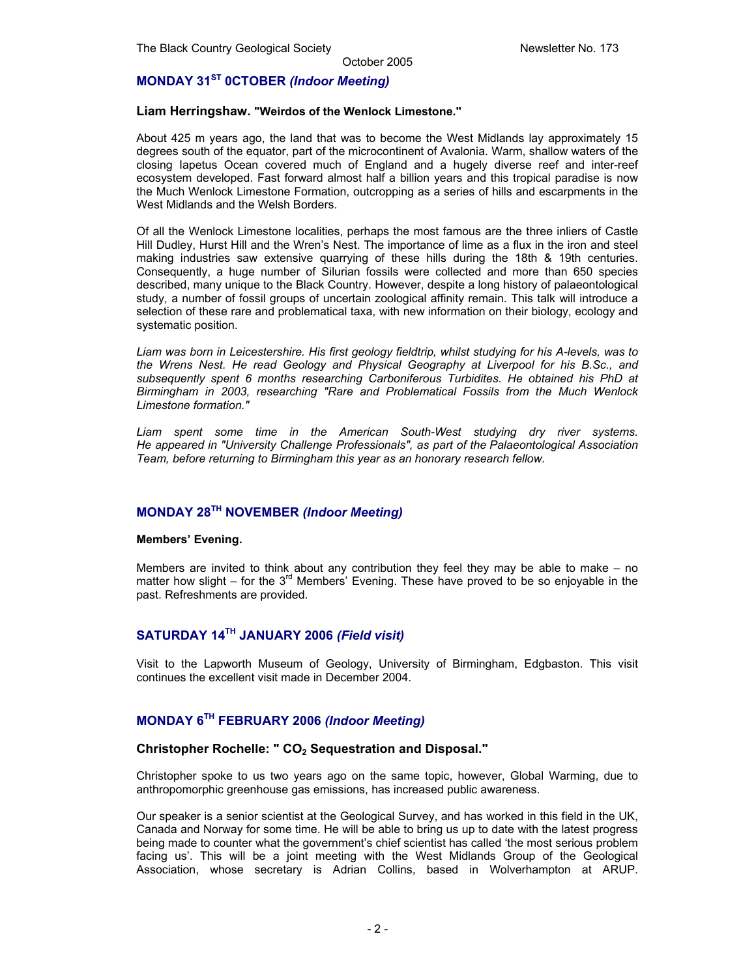# **MONDAY 31ST 0CTOBER** *(Indoor Meeting)*

#### **Liam Herringshaw. "Weirdos of the Wenlock Limestone."**

About 425 m years ago, the land that was to become the West Midlands lay approximately 15 degrees south of the equator, part of the microcontinent of Avalonia. Warm, shallow waters of the closing Iapetus Ocean covered much of England and a hugely diverse reef and inter-reef ecosystem developed. Fast forward almost half a billion years and this tropical paradise is now the Much Wenlock Limestone Formation, outcropping as a series of hills and escarpments in the West Midlands and the Welsh Borders.

Of all the Wenlock Limestone localities, perhaps the most famous are the three inliers of Castle Hill Dudley, Hurst Hill and the Wren's Nest. The importance of lime as a flux in the iron and steel making industries saw extensive quarrying of these hills during the 18th & 19th centuries. Consequently, a huge number of Silurian fossils were collected and more than 650 species described, many unique to the Black Country. However, despite a long history of palaeontological study, a number of fossil groups of uncertain zoological affinity remain. This talk will introduce a selection of these rare and problematical taxa, with new information on their biology, ecology and systematic position.

*Liam was born in Leicestershire. His first geology fieldtrip, whilst studying for his A-levels, was to the Wrens Nest. He read Geology and Physical Geography at Liverpool for his B.Sc., and subsequently spent 6 months researching Carboniferous Turbidites. He obtained his PhD at Birmingham in 2003, researching "Rare and Problematical Fossils from the Much Wenlock Limestone formation."* 

Liam spent some time in the American South-West studying dry river systems. *He appeared in "University Challenge Professionals", as part of the Palaeontological Association Team, before returning to Birmingham this year as an honorary research fellow.* 

# **MONDAY 28TH NOVEMBER** *(Indoor Meeting)*

#### **Members' Evening.**

Members are invited to think about any contribution they feel they may be able to make – no matter how slight – for the  $3<sup>rd</sup>$  Members' Evening. These have proved to be so enjoyable in the past. Refreshments are provided.

# **SATURDAY 14TH JANUARY 2006** *(Field visit)*

Visit to the Lapworth Museum of Geology, University of Birmingham, Edgbaston. This visit continues the excellent visit made in December 2004.

# **MONDAY 6TH FEBRUARY 2006** *(Indoor Meeting)*

#### Christopher Rochelle: " CO<sub>2</sub> Sequestration and Disposal."

Christopher spoke to us two years ago on the same topic, however, Global Warming, due to anthropomorphic greenhouse gas emissions, has increased public awareness.

Our speaker is a senior scientist at the Geological Survey, and has worked in this field in the UK, Canada and Norway for some time. He will be able to bring us up to date with the latest progress being made to counter what the government's chief scientist has called 'the most serious problem facing us'. This will be a joint meeting with the West Midlands Group of the Geological Association, whose secretary is Adrian Collins, based in Wolverhampton at ARUP.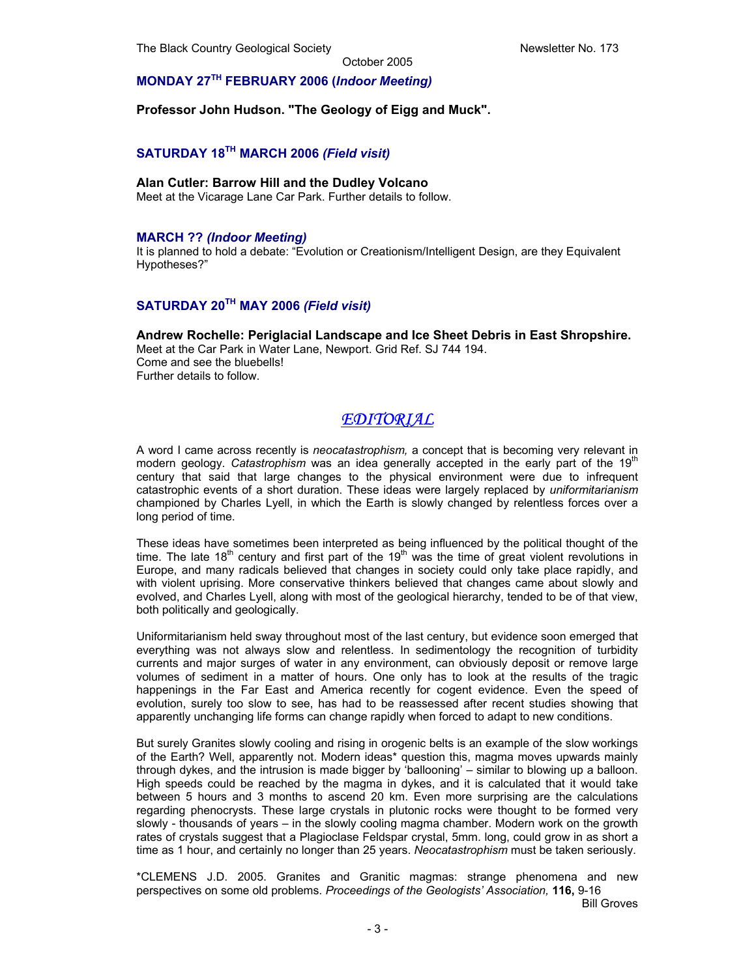# **MONDAY 27TH FEBRUARY 2006 (***Indoor Meeting)*

#### **Professor John Hudson. "The Geology of Eigg and Muck".**

# **SATURDAY 18TH MARCH 2006** *(Field visit)*

# **Alan Cutler: Barrow Hill and the Dudley Volcano**

Meet at the Vicarage Lane Car Park. Further details to follow.

### **MARCH ??** *(Indoor Meeting)*

It is planned to hold a debate: "Evolution or Creationism/Intelligent Design, are they Equivalent Hypotheses?"

# **SATURDAY 20TH MAY 2006** *(Field visit)*

# **Andrew Rochelle: Periglacial Landscape and Ice Sheet Debris in East Shropshire.**

Meet at the Car Park in Water Lane, Newport. Grid Ref. SJ 744 194. Come and see the bluebells! Further details to follow.

# *EDITORIAL*

A word I came across recently is *neocatastrophism,* a concept that is becoming very relevant in modern geology. *Catastrophism* was an idea generally accepted in the early part of the 19<sup>th</sup> century that said that large changes to the physical environment were due to infrequent catastrophic events of a short duration. These ideas were largely replaced by *uniformitarianism*  championed by Charles Lyell, in which the Earth is slowly changed by relentless forces over a long period of time.

These ideas have sometimes been interpreted as being influenced by the political thought of the time. The late 18<sup>th</sup> century and first part of the 19<sup>th</sup> was the time of great violent revolutions in Europe, and many radicals believed that changes in society could only take place rapidly, and with violent uprising. More conservative thinkers believed that changes came about slowly and evolved, and Charles Lyell, along with most of the geological hierarchy, tended to be of that view, both politically and geologically.

Uniformitarianism held sway throughout most of the last century, but evidence soon emerged that everything was not always slow and relentless. In sedimentology the recognition of turbidity currents and major surges of water in any environment, can obviously deposit or remove large volumes of sediment in a matter of hours. One only has to look at the results of the tragic happenings in the Far East and America recently for cogent evidence. Even the speed of evolution, surely too slow to see, has had to be reassessed after recent studies showing that apparently unchanging life forms can change rapidly when forced to adapt to new conditions.

But surely Granites slowly cooling and rising in orogenic belts is an example of the slow workings of the Earth? Well, apparently not. Modern ideas\* question this, magma moves upwards mainly through dykes, and the intrusion is made bigger by 'ballooning' – similar to blowing up a balloon. High speeds could be reached by the magma in dykes, and it is calculated that it would take between 5 hours and 3 months to ascend 20 km. Even more surprising are the calculations regarding phenocrysts. These large crystals in plutonic rocks were thought to be formed very slowly - thousands of years – in the slowly cooling magma chamber. Modern work on the growth rates of crystals suggest that a Plagioclase Feldspar crystal, 5mm. long, could grow in as short a time as 1 hour, and certainly no longer than 25 years. *Neocatastrophism* must be taken seriously.

\*CLEMENS J.D. 2005. Granites and Granitic magmas: strange phenomena and new perspectives on some old problems. *Proceedings of the Geologists' Association,* **116,** 9-16

Bill Groves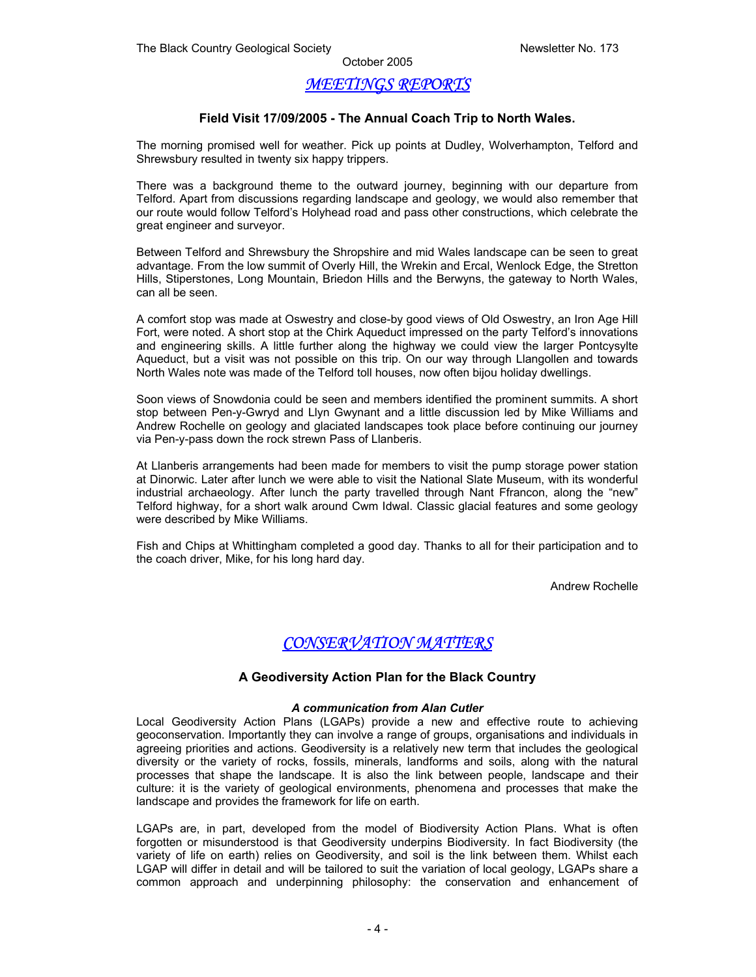# *MEETINGS REPORTS*

# **Field Visit 17/09/2005 - The Annual Coach Trip to North Wales.**

The morning promised well for weather. Pick up points at Dudley, Wolverhampton, Telford and Shrewsbury resulted in twenty six happy trippers.

There was a background theme to the outward journey, beginning with our departure from Telford. Apart from discussions regarding landscape and geology, we would also remember that our route would follow Telford's Holyhead road and pass other constructions, which celebrate the great engineer and surveyor.

Between Telford and Shrewsbury the Shropshire and mid Wales landscape can be seen to great advantage. From the low summit of Overly Hill, the Wrekin and Ercal, Wenlock Edge, the Stretton Hills, Stiperstones, Long Mountain, Briedon Hills and the Berwyns, the gateway to North Wales, can all be seen.

A comfort stop was made at Oswestry and close-by good views of Old Oswestry, an Iron Age Hill Fort, were noted. A short stop at the Chirk Aqueduct impressed on the party Telford's innovations and engineering skills. A little further along the highway we could view the larger Pontcysylte Aqueduct, but a visit was not possible on this trip. On our way through Llangollen and towards North Wales note was made of the Telford toll houses, now often bijou holiday dwellings.

Soon views of Snowdonia could be seen and members identified the prominent summits. A short stop between Pen-y-Gwryd and Llyn Gwynant and a little discussion led by Mike Williams and Andrew Rochelle on geology and glaciated landscapes took place before continuing our journey via Pen-y-pass down the rock strewn Pass of Llanberis.

At Llanberis arrangements had been made for members to visit the pump storage power station at Dinorwic. Later after lunch we were able to visit the National Slate Museum, with its wonderful industrial archaeology. After lunch the party travelled through Nant Ffrancon, along the "new" Telford highway, for a short walk around Cwm Idwal. Classic glacial features and some geology were described by Mike Williams.

Fish and Chips at Whittingham completed a good day. Thanks to all for their participation and to the coach driver, Mike, for his long hard day.

Andrew Rochelle

# *CONSERVATION MATTERS*

# **A Geodiversity Action Plan for the Black Country**

#### *A communication from Alan Cutler*

Local Geodiversity Action Plans (LGAPs) provide a new and effective route to achieving geoconservation. Importantly they can involve a range of groups, organisations and individuals in agreeing priorities and actions. Geodiversity is a relatively new term that includes the geological diversity or the variety of rocks, fossils, minerals, landforms and soils, along with the natural processes that shape the landscape. It is also the link between people, landscape and their culture: it is the variety of geological environments, phenomena and processes that make the landscape and provides the framework for life on earth.

LGAPs are, in part, developed from the model of Biodiversity Action Plans. What is often forgotten or misunderstood is that Geodiversity underpins Biodiversity. In fact Biodiversity (the variety of life on earth) relies on Geodiversity, and soil is the link between them. Whilst each LGAP will differ in detail and will be tailored to suit the variation of local geology, LGAPs share a common approach and underpinning philosophy: the conservation and enhancement of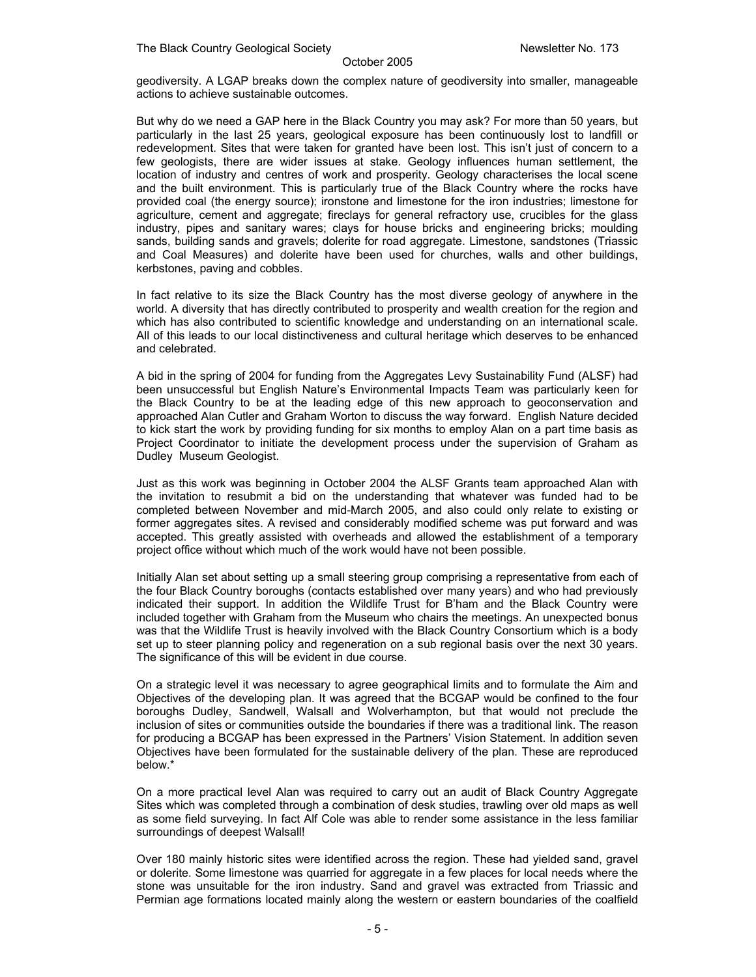geodiversity. A LGAP breaks down the complex nature of geodiversity into smaller, manageable actions to achieve sustainable outcomes.

But why do we need a GAP here in the Black Country you may ask? For more than 50 years, but particularly in the last 25 years, geological exposure has been continuously lost to landfill or redevelopment. Sites that were taken for granted have been lost. This isn't just of concern to a few geologists, there are wider issues at stake. Geology influences human settlement, the location of industry and centres of work and prosperity. Geology characterises the local scene and the built environment. This is particularly true of the Black Country where the rocks have provided coal (the energy source); ironstone and limestone for the iron industries; limestone for agriculture, cement and aggregate; fireclays for general refractory use, crucibles for the glass industry, pipes and sanitary wares; clays for house bricks and engineering bricks; moulding sands, building sands and gravels; dolerite for road aggregate. Limestone, sandstones (Triassic and Coal Measures) and dolerite have been used for churches, walls and other buildings, kerbstones, paving and cobbles.

In fact relative to its size the Black Country has the most diverse geology of anywhere in the world. A diversity that has directly contributed to prosperity and wealth creation for the region and which has also contributed to scientific knowledge and understanding on an international scale. All of this leads to our local distinctiveness and cultural heritage which deserves to be enhanced and celebrated.

A bid in the spring of 2004 for funding from the Aggregates Levy Sustainability Fund (ALSF) had been unsuccessful but English Nature's Environmental Impacts Team was particularly keen for the Black Country to be at the leading edge of this new approach to geoconservation and approached Alan Cutler and Graham Worton to discuss the way forward. English Nature decided to kick start the work by providing funding for six months to employ Alan on a part time basis as Project Coordinator to initiate the development process under the supervision of Graham as Dudley Museum Geologist.

Just as this work was beginning in October 2004 the ALSF Grants team approached Alan with the invitation to resubmit a bid on the understanding that whatever was funded had to be completed between November and mid-March 2005, and also could only relate to existing or former aggregates sites. A revised and considerably modified scheme was put forward and was accepted. This greatly assisted with overheads and allowed the establishment of a temporary project office without which much of the work would have not been possible.

Initially Alan set about setting up a small steering group comprising a representative from each of the four Black Country boroughs (contacts established over many years) and who had previously indicated their support. In addition the Wildlife Trust for B'ham and the Black Country were included together with Graham from the Museum who chairs the meetings. An unexpected bonus was that the Wildlife Trust is heavily involved with the Black Country Consortium which is a body set up to steer planning policy and regeneration on a sub regional basis over the next 30 years. The significance of this will be evident in due course.

On a strategic level it was necessary to agree geographical limits and to formulate the Aim and Objectives of the developing plan. It was agreed that the BCGAP would be confined to the four boroughs Dudley, Sandwell, Walsall and Wolverhampton, but that would not preclude the inclusion of sites or communities outside the boundaries if there was a traditional link. The reason for producing a BCGAP has been expressed in the Partners' Vision Statement. In addition seven Objectives have been formulated for the sustainable delivery of the plan. These are reproduced below.\*

On a more practical level Alan was required to carry out an audit of Black Country Aggregate Sites which was completed through a combination of desk studies, trawling over old maps as well as some field surveying. In fact Alf Cole was able to render some assistance in the less familiar surroundings of deepest Walsall!

Over 180 mainly historic sites were identified across the region. These had yielded sand, gravel or dolerite. Some limestone was quarried for aggregate in a few places for local needs where the stone was unsuitable for the iron industry. Sand and gravel was extracted from Triassic and Permian age formations located mainly along the western or eastern boundaries of the coalfield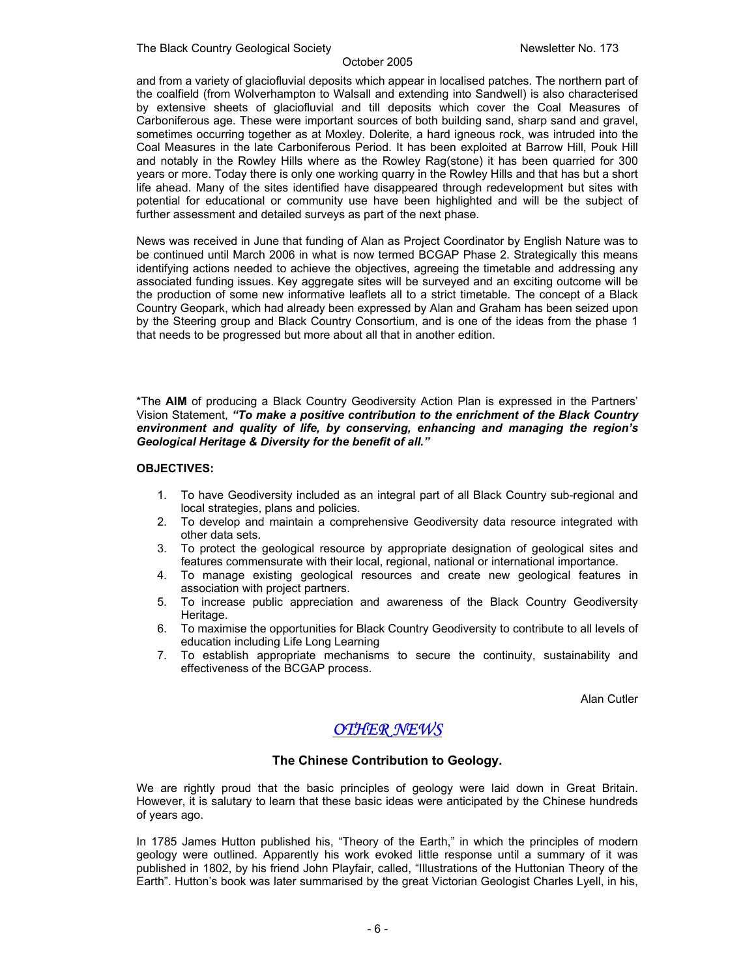The Black Country Geological Society Newsletter No. 173

#### October 2005

and from a variety of glaciofluvial deposits which appear in localised patches. The northern part of the coalfield (from Wolverhampton to Walsall and extending into Sandwell) is also characterised by extensive sheets of glaciofluvial and till deposits which cover the Coal Measures of Carboniferous age. These were important sources of both building sand, sharp sand and gravel, sometimes occurring together as at Moxley. Dolerite, a hard igneous rock, was intruded into the Coal Measures in the late Carboniferous Period. It has been exploited at Barrow Hill, Pouk Hill and notably in the Rowley Hills where as the Rowley Rag(stone) it has been quarried for 300 years or more. Today there is only one working quarry in the Rowley Hills and that has but a short life ahead. Many of the sites identified have disappeared through redevelopment but sites with potential for educational or community use have been highlighted and will be the subject of further assessment and detailed surveys as part of the next phase.

News was received in June that funding of Alan as Project Coordinator by English Nature was to be continued until March 2006 in what is now termed BCGAP Phase 2. Strategically this means identifying actions needed to achieve the objectives, agreeing the timetable and addressing any associated funding issues. Key aggregate sites will be surveyed and an exciting outcome will be the production of some new informative leaflets all to a strict timetable. The concept of a Black Country Geopark, which had already been expressed by Alan and Graham has been seized upon by the Steering group and Black Country Consortium, and is one of the ideas from the phase 1 that needs to be progressed but more about all that in another edition.

\*The **AIM** of producing a Black Country Geodiversity Action Plan is expressed in the Partners' Vision Statement, *"To make a positive contribution to the enrichment of the Black Country environment and quality of life, by conserving, enhancing and managing the region's Geological Heritage & Diversity for the benefit of all."* 

# **OBJECTIVES:**

- 1. To have Geodiversity included as an integral part of all Black Country sub-regional and local strategies, plans and policies.
- 2. To develop and maintain a comprehensive Geodiversity data resource integrated with other data sets.
- 3. To protect the geological resource by appropriate designation of geological sites and features commensurate with their local, regional, national or international importance.
- 4. To manage existing geological resources and create new geological features in association with project partners.
- 5. To increase public appreciation and awareness of the Black Country Geodiversity Heritage.
- 6. To maximise the opportunities for Black Country Geodiversity to contribute to all levels of education including Life Long Learning
- 7. To establish appropriate mechanisms to secure the continuity, sustainability and effectiveness of the BCGAP process.

Alan Cutler

# *OTHER NEWS*

# **The Chinese Contribution to Geology.**

We are rightly proud that the basic principles of geology were laid down in Great Britain. However, it is salutary to learn that these basic ideas were anticipated by the Chinese hundreds of years ago.

In 1785 James Hutton published his, "Theory of the Earth," in which the principles of modern geology were outlined. Apparently his work evoked little response until a summary of it was published in 1802, by his friend John Playfair, called, "Illustrations of the Huttonian Theory of the Earth". Hutton's book was later summarised by the great Victorian Geologist Charles Lyell, in his,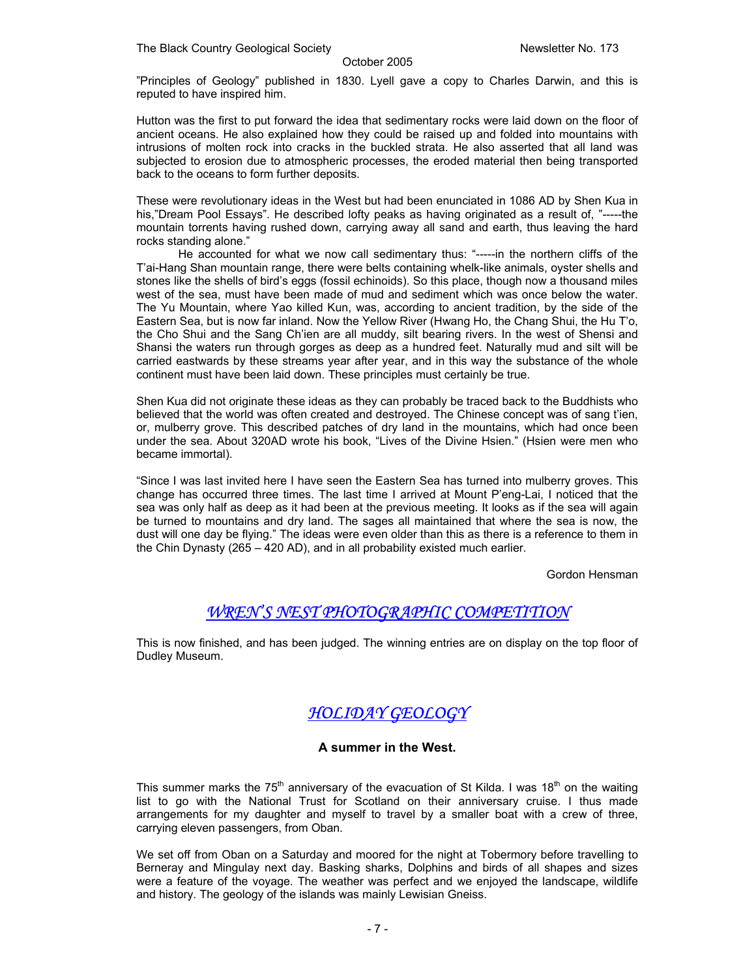"Principles of Geology" published in 1830. Lyell gave a copy to Charles Darwin, and this is reputed to have inspired him.

Hutton was the first to put forward the idea that sedimentary rocks were laid down on the floor of ancient oceans. He also explained how they could be raised up and folded into mountains with intrusions of molten rock into cracks in the buckled strata. He also asserted that all land was subjected to erosion due to atmospheric processes, the eroded material then being transported back to the oceans to form further deposits.

These were revolutionary ideas in the West but had been enunciated in 1086 AD by Shen Kua in his,"Dream Pool Essays". He described lofty peaks as having originated as a result of, "-----the mountain torrents having rushed down, carrying away all sand and earth, thus leaving the hard rocks standing alone."

 He accounted for what we now call sedimentary thus: "-----in the northern cliffs of the T'ai-Hang Shan mountain range, there were belts containing whelk-like animals, oyster shells and stones like the shells of bird's eggs (fossil echinoids). So this place, though now a thousand miles west of the sea, must have been made of mud and sediment which was once below the water. The Yu Mountain, where Yao killed Kun, was, according to ancient tradition, by the side of the Eastern Sea, but is now far inland. Now the Yellow River (Hwang Ho, the Chang Shui, the Hu T'o, the Cho Shui and the Sang Ch'ien are all muddy, silt bearing rivers. In the west of Shensi and Shansi the waters run through gorges as deep as a hundred feet. Naturally mud and silt will be carried eastwards by these streams year after year, and in this way the substance of the whole continent must have been laid down. These principles must certainly be true.

Shen Kua did not originate these ideas as they can probably be traced back to the Buddhists who believed that the world was often created and destroyed. The Chinese concept was of sang t'ien, or, mulberry grove. This described patches of dry land in the mountains, which had once been under the sea. About 320AD wrote his book, "Lives of the Divine Hsien." (Hsien were men who became immortal).

"Since I was last invited here I have seen the Eastern Sea has turned into mulberry groves. This change has occurred three times. The last time I arrived at Mount P'eng-Lai, I noticed that the sea was only half as deep as it had been at the previous meeting. It looks as if the sea will again be turned to mountains and dry land. The sages all maintained that where the sea is now, the dust will one day be flying." The ideas were even older than this as there is a reference to them in the Chin Dynasty (265 – 420 AD), and in all probability existed much earlier.

Gordon Hensman

# *WREN'S NEST PHOTOGRAPHIC COMPETITION*

This is now finished, and has been judged. The winning entries are on display on the top floor of Dudley Museum.

# *HOLIDAY GEOLOGY*

# **A summer in the West.**

This summer marks the 75<sup>th</sup> anniversary of the evacuation of St Kilda. I was 18<sup>th</sup> on the waiting list to go with the National Trust for Scotland on their anniversary cruise. I thus made arrangements for my daughter and myself to travel by a smaller boat with a crew of three, carrying eleven passengers, from Oban.

We set off from Oban on a Saturday and moored for the night at Tobermory before travelling to Berneray and Mingulay next day. Basking sharks, Dolphins and birds of all shapes and sizes were a feature of the voyage. The weather was perfect and we enjoyed the landscape, wildlife and history. The geology of the islands was mainly Lewisian Gneiss.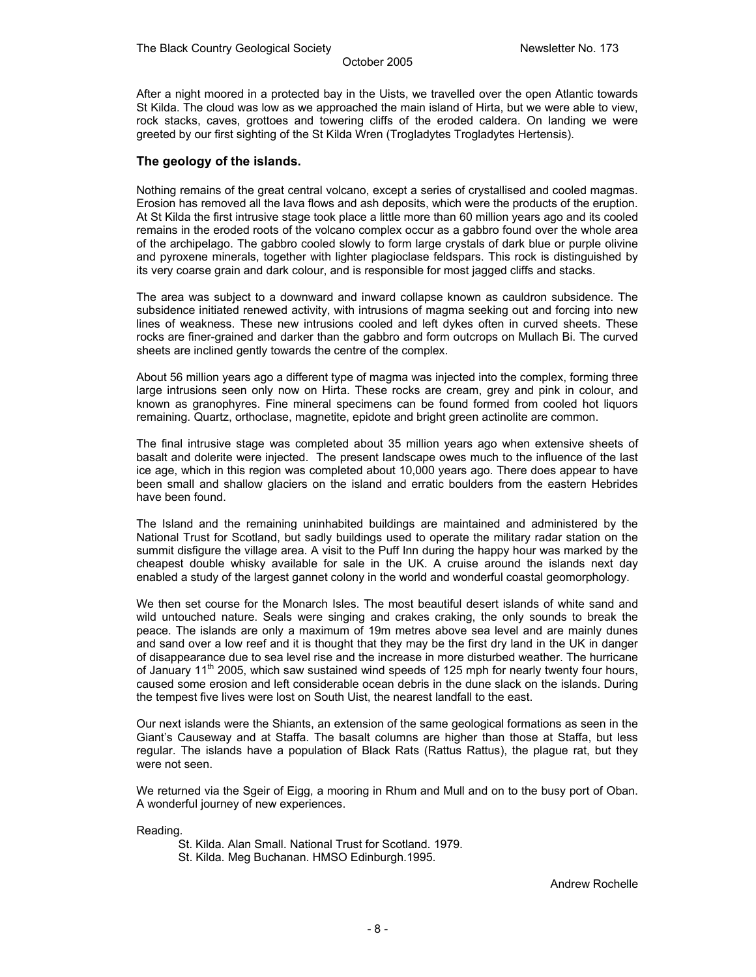After a night moored in a protected bay in the Uists, we travelled over the open Atlantic towards St Kilda. The cloud was low as we approached the main island of Hirta, but we were able to view, rock stacks, caves, grottoes and towering cliffs of the eroded caldera. On landing we were greeted by our first sighting of the St Kilda Wren (Trogladytes Trogladytes Hertensis).

# **The geology of the islands.**

Nothing remains of the great central volcano, except a series of crystallised and cooled magmas. Erosion has removed all the lava flows and ash deposits, which were the products of the eruption. At St Kilda the first intrusive stage took place a little more than 60 million years ago and its cooled remains in the eroded roots of the volcano complex occur as a gabbro found over the whole area of the archipelago. The gabbro cooled slowly to form large crystals of dark blue or purple olivine and pyroxene minerals, together with lighter plagioclase feldspars. This rock is distinguished by its very coarse grain and dark colour, and is responsible for most jagged cliffs and stacks.

The area was subject to a downward and inward collapse known as cauldron subsidence. The subsidence initiated renewed activity, with intrusions of magma seeking out and forcing into new lines of weakness. These new intrusions cooled and left dykes often in curved sheets. These rocks are finer-grained and darker than the gabbro and form outcrops on Mullach Bi. The curved sheets are inclined gently towards the centre of the complex.

About 56 million years ago a different type of magma was injected into the complex, forming three large intrusions seen only now on Hirta. These rocks are cream, grey and pink in colour, and known as granophyres. Fine mineral specimens can be found formed from cooled hot liquors remaining. Quartz, orthoclase, magnetite, epidote and bright green actinolite are common.

The final intrusive stage was completed about 35 million years ago when extensive sheets of basalt and dolerite were injected. The present landscape owes much to the influence of the last ice age, which in this region was completed about 10,000 years ago. There does appear to have been small and shallow glaciers on the island and erratic boulders from the eastern Hebrides have been found.

The Island and the remaining uninhabited buildings are maintained and administered by the National Trust for Scotland, but sadly buildings used to operate the military radar station on the summit disfigure the village area. A visit to the Puff Inn during the happy hour was marked by the cheapest double whisky available for sale in the UK. A cruise around the islands next day enabled a study of the largest gannet colony in the world and wonderful coastal geomorphology.

We then set course for the Monarch Isles. The most beautiful desert islands of white sand and wild untouched nature. Seals were singing and crakes craking, the only sounds to break the peace. The islands are only a maximum of 19m metres above sea level and are mainly dunes and sand over a low reef and it is thought that they may be the first dry land in the UK in danger of disappearance due to sea level rise and the increase in more disturbed weather. The hurricane of January 11<sup>th</sup> 2005, which saw sustained wind speeds of 125 mph for nearly twenty four hours, caused some erosion and left considerable ocean debris in the dune slack on the islands. During the tempest five lives were lost on South Uist, the nearest landfall to the east.

Our next islands were the Shiants, an extension of the same geological formations as seen in the Giant's Causeway and at Staffa. The basalt columns are higher than those at Staffa, but less regular. The islands have a population of Black Rats (Rattus Rattus), the plague rat, but they were not seen.

We returned via the Sgeir of Eigg, a mooring in Rhum and Mull and on to the busy port of Oban. A wonderful journey of new experiences.

Reading.

St. Kilda. Alan Small. National Trust for Scotland. 1979.

St. Kilda. Meg Buchanan. HMSO Edinburgh.1995.

Andrew Rochelle